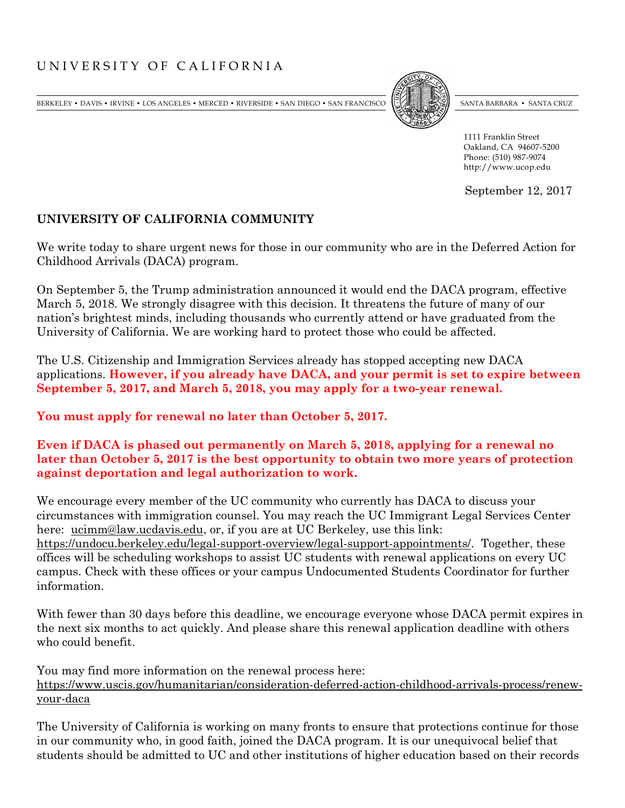## UNIVERSITY OF CALIFORNIA

BERKELEY • DAVIS • IRVINE • LOS ANGELES • MERCED • RIVERSIDE • SAN DIEGO • SAN FRANCISCO SANTA BARBARA • SANTA BARBARA • SANTA CRUZ



Office of the President 1111 Franklin Street Oakland, CA 94607-5200 Phone: (510) 987-9074 http://www.ucop.edu

September 12, 2017

## **UNIVERSITY OF CALIFORNIA COMMUNITY**

We write today to share urgent news for those in our community who are in the Deferred Action for Childhood Arrivals (DACA) program.

On September 5, the Trump administration announced it would end the DACA program, effective March 5, 2018. We strongly disagree with this decision. It threatens the future of many of our nation's brightest minds, including thousands who currently attend or have graduated from the University of California. We are working hard to protect those who could be affected.

The U.S. Citizenship and Immigration Services already has stopped accepting new DACA applications. **However, if you already have DACA, and your permit is set to expire between September 5, 2017, and March 5, 2018, you may apply for a two-year renewal.**

**You must apply for renewal no later than October 5, 2017.**

**Even if DACA is phased out permanently on March 5, 2018, applying for a renewal no later than October 5, 2017 is the best opportunity to obtain two more years of protection against deportation and legal authorization to work.** 

We encourage every member of the UC community who currently has DACA to discuss your circumstances with immigration counsel. You may reach the UC Immigrant Legal Services Center here: [ucimm@law.ucdavis.edu,](mailto:ucimm@law.ucdavis.edu) or, if you are at UC Berkeley, use this link: [https://undocu.berkeley.edu/legal-support-overview/legal-support-appointments/.](https://undocu.berkeley.edu/legal-support-overview/legal-support-appointments/)Together, these offices will be scheduling workshops to assist UC students with renewal applications on every UC campus. Check with these offices or your campus Undocumented Students Coordinator for further information.

With fewer than 30 days before this deadline, we encourage everyone whose DACA permit expires in the next six months to act quickly. And please share this renewal application deadline with others who could benefit.

You may find more information on the renewal process here: [https://www.uscis.gov/humanitarian/consideration-deferred-action-childhood-arrivals-process/renew](https://www.uscis.gov/humanitarian/consideration-deferred-action-childhood-arrivals-process/renew-your-daca)[your-daca](https://www.uscis.gov/humanitarian/consideration-deferred-action-childhood-arrivals-process/renew-your-daca)

The University of California is working on many fronts to ensure that protections continue for those in our community who, in good faith, joined the DACA program. It is our unequivocal belief that students should be admitted to UC and other institutions of higher education based on their records